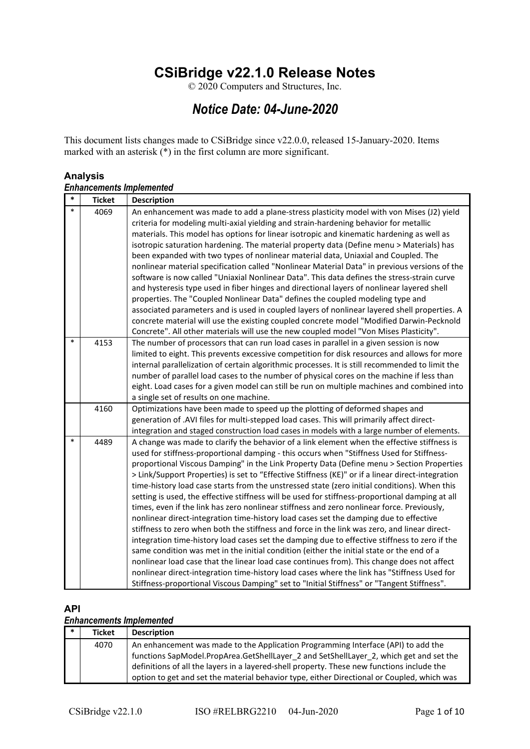# **CSiBridge v22.1.0 Release Notes**

© 2020 Computers and Structures, Inc.

# *Notice Date: 04-June-2020*

This document lists changes made to CSiBridge since v22.0.0, released 15-January-2020. Items marked with an asterisk  $\left(\frac{1}{2}\right)$  in the first column are more significant.

#### **Analysis**

|        | <b>Enhancements Implemented</b> |                                                                                                                                                                                                                                                                                                                                                                                                                                                                                                                                                                                                                                                                                                                                                                                                                                                                                                                                                                                                                                                                                                                                                                                                                                                                                                                                                                               |  |
|--------|---------------------------------|-------------------------------------------------------------------------------------------------------------------------------------------------------------------------------------------------------------------------------------------------------------------------------------------------------------------------------------------------------------------------------------------------------------------------------------------------------------------------------------------------------------------------------------------------------------------------------------------------------------------------------------------------------------------------------------------------------------------------------------------------------------------------------------------------------------------------------------------------------------------------------------------------------------------------------------------------------------------------------------------------------------------------------------------------------------------------------------------------------------------------------------------------------------------------------------------------------------------------------------------------------------------------------------------------------------------------------------------------------------------------------|--|
| $\ast$ | <b>Ticket</b>                   | <b>Description</b>                                                                                                                                                                                                                                                                                                                                                                                                                                                                                                                                                                                                                                                                                                                                                                                                                                                                                                                                                                                                                                                                                                                                                                                                                                                                                                                                                            |  |
| $\ast$ | 4069                            | An enhancement was made to add a plane-stress plasticity model with von Mises (J2) yield<br>criteria for modeling multi-axial yielding and strain-hardening behavior for metallic<br>materials. This model has options for linear isotropic and kinematic hardening as well as<br>isotropic saturation hardening. The material property data (Define menu > Materials) has<br>been expanded with two types of nonlinear material data, Uniaxial and Coupled. The<br>nonlinear material specification called "Nonlinear Material Data" in previous versions of the<br>software is now called "Uniaxial Nonlinear Data". This data defines the stress-strain curve<br>and hysteresis type used in fiber hinges and directional layers of nonlinear layered shell<br>properties. The "Coupled Nonlinear Data" defines the coupled modeling type and<br>associated parameters and is used in coupled layers of nonlinear layered shell properties. A<br>concrete material will use the existing coupled concrete model "Modified Darwin-Pecknold<br>Concrete". All other materials will use the new coupled model "Von Mises Plasticity".                                                                                                                                                                                                                                         |  |
| $\ast$ | 4153                            | The number of processors that can run load cases in parallel in a given session is now<br>limited to eight. This prevents excessive competition for disk resources and allows for more<br>internal parallelization of certain algorithmic processes. It is still recommended to limit the<br>number of parallel load cases to the number of physical cores on the machine if less than<br>eight. Load cases for a given model can still be run on multiple machines and combined into<br>a single set of results on one machine.                                                                                                                                                                                                                                                                                                                                                                                                                                                                                                                                                                                                                                                                                                                                                                                                                                              |  |
|        | 4160                            | Optimizations have been made to speed up the plotting of deformed shapes and<br>generation of .AVI files for multi-stepped load cases. This will primarily affect direct-<br>integration and staged construction load cases in models with a large number of elements.                                                                                                                                                                                                                                                                                                                                                                                                                                                                                                                                                                                                                                                                                                                                                                                                                                                                                                                                                                                                                                                                                                        |  |
| $\ast$ | 4489                            | A change was made to clarify the behavior of a link element when the effective stiffness is<br>used for stiffness-proportional damping - this occurs when "Stiffness Used for Stiffness-<br>proportional Viscous Damping" in the Link Property Data (Define menu > Section Properties<br>> Link/Support Properties) is set to "Effective Stiffness (KE)" or if a linear direct-integration<br>time-history load case starts from the unstressed state (zero initial conditions). When this<br>setting is used, the effective stiffness will be used for stiffness-proportional damping at all<br>times, even if the link has zero nonlinear stiffness and zero nonlinear force. Previously,<br>nonlinear direct-integration time-history load cases set the damping due to effective<br>stiffness to zero when both the stiffness and force in the link was zero, and linear direct-<br>integration time-history load cases set the damping due to effective stiffness to zero if the<br>same condition was met in the initial condition (either the initial state or the end of a<br>nonlinear load case that the linear load case continues from). This change does not affect<br>nonlinear direct-integration time-history load cases where the link has "Stiffness Used for<br>Stiffness-proportional Viscous Damping" set to "Initial Stiffness" or "Tangent Stiffness". |  |

## **API**

### *Enhancements Implemented*

| $\ast$ | <b>Ticket</b> | <b>Description</b>                                                                         |
|--------|---------------|--------------------------------------------------------------------------------------------|
|        | 4070          | An enhancement was made to the Application Programming Interface (API) to add the          |
|        |               | functions SapModel.PropArea.GetShellLayer 2 and SetShellLayer 2, which get and set the     |
|        |               | definitions of all the layers in a layered-shell property. These new functions include the |
|        |               | option to get and set the material behavior type, either Directional or Coupled, which was |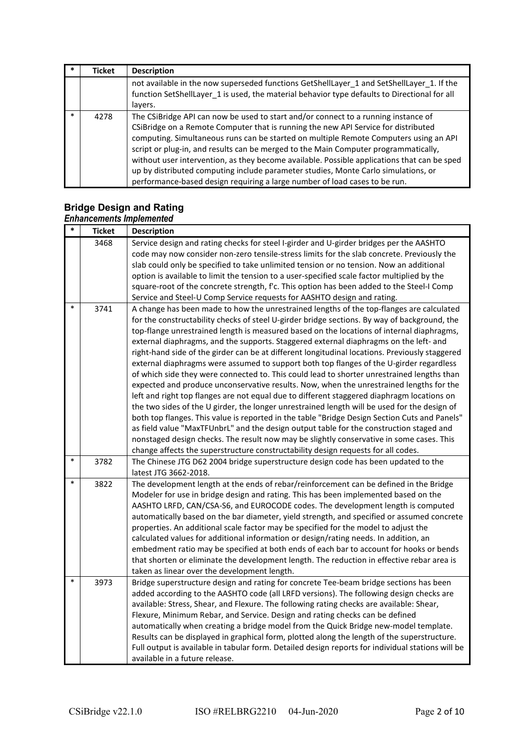|        | <b>Ticket</b> | <b>Description</b>                                                                                                                                                                                                                                                                                                                                                                                                                                                                                                                                                                                                          |
|--------|---------------|-----------------------------------------------------------------------------------------------------------------------------------------------------------------------------------------------------------------------------------------------------------------------------------------------------------------------------------------------------------------------------------------------------------------------------------------------------------------------------------------------------------------------------------------------------------------------------------------------------------------------------|
|        |               | not available in the now superseded functions GetShellLayer 1 and SetShellLayer 1. If the<br>function SetShellLayer 1 is used, the material behavior type defaults to Directional for all<br>layers.                                                                                                                                                                                                                                                                                                                                                                                                                        |
| $\ast$ | 4278          | The CSiBridge API can now be used to start and/or connect to a running instance of<br>CSiBridge on a Remote Computer that is running the new API Service for distributed<br>computing. Simultaneous runs can be started on multiple Remote Computers using an API<br>script or plug-in, and results can be merged to the Main Computer programmatically,<br>without user intervention, as they become available. Possible applications that can be sped<br>up by distributed computing include parameter studies, Monte Carlo simulations, or<br>performance-based design requiring a large number of load cases to be run. |

# **Bridge Design and Rating**

|        | <b>Enhancements Implemented</b> |                                                                                                                                                                                                                                                                                                                                                                                                                                                                                                                                                                                                                                                                                                                                                                                                                                                                                                                                                                                                                                                                                                                                                                                                                                                                                                                                                 |  |
|--------|---------------------------------|-------------------------------------------------------------------------------------------------------------------------------------------------------------------------------------------------------------------------------------------------------------------------------------------------------------------------------------------------------------------------------------------------------------------------------------------------------------------------------------------------------------------------------------------------------------------------------------------------------------------------------------------------------------------------------------------------------------------------------------------------------------------------------------------------------------------------------------------------------------------------------------------------------------------------------------------------------------------------------------------------------------------------------------------------------------------------------------------------------------------------------------------------------------------------------------------------------------------------------------------------------------------------------------------------------------------------------------------------|--|
| $\ast$ | <b>Ticket</b>                   | <b>Description</b>                                                                                                                                                                                                                                                                                                                                                                                                                                                                                                                                                                                                                                                                                                                                                                                                                                                                                                                                                                                                                                                                                                                                                                                                                                                                                                                              |  |
|        | 3468                            | Service design and rating checks for steel I-girder and U-girder bridges per the AASHTO<br>code may now consider non-zero tensile-stress limits for the slab concrete. Previously the<br>slab could only be specified to take unlimited tension or no tension. Now an additional<br>option is available to limit the tension to a user-specified scale factor multiplied by the                                                                                                                                                                                                                                                                                                                                                                                                                                                                                                                                                                                                                                                                                                                                                                                                                                                                                                                                                                 |  |
|        |                                 | square-root of the concrete strength, f'c. This option has been added to the Steel-I Comp<br>Service and Steel-U Comp Service requests for AASHTO design and rating.                                                                                                                                                                                                                                                                                                                                                                                                                                                                                                                                                                                                                                                                                                                                                                                                                                                                                                                                                                                                                                                                                                                                                                            |  |
| *      | 3741                            | A change has been made to how the unrestrained lengths of the top-flanges are calculated<br>for the constructability checks of steel U-girder bridge sections. By way of background, the<br>top-flange unrestrained length is measured based on the locations of internal diaphragms,<br>external diaphragms, and the supports. Staggered external diaphragms on the left- and<br>right-hand side of the girder can be at different longitudinal locations. Previously staggered<br>external diaphragms were assumed to support both top flanges of the U-girder regardless<br>of which side they were connected to. This could lead to shorter unrestrained lengths than<br>expected and produce unconservative results. Now, when the unrestrained lengths for the<br>left and right top flanges are not equal due to different staggered diaphragm locations on<br>the two sides of the U girder, the longer unrestrained length will be used for the design of<br>both top flanges. This value is reported in the table "Bridge Design Section Cuts and Panels"<br>as field value "MaxTFUnbrL" and the design output table for the construction staged and<br>nonstaged design checks. The result now may be slightly conservative in some cases. This<br>change affects the superstructure constructability design requests for all codes. |  |
| *      | 3782                            | The Chinese JTG D62 2004 bridge superstructure design code has been updated to the<br>latest JTG 3662-2018.                                                                                                                                                                                                                                                                                                                                                                                                                                                                                                                                                                                                                                                                                                                                                                                                                                                                                                                                                                                                                                                                                                                                                                                                                                     |  |
| $\ast$ | 3822                            | The development length at the ends of rebar/reinforcement can be defined in the Bridge<br>Modeler for use in bridge design and rating. This has been implemented based on the<br>AASHTO LRFD, CAN/CSA-S6, and EUROCODE codes. The development length is computed<br>automatically based on the bar diameter, yield strength, and specified or assumed concrete<br>properties. An additional scale factor may be specified for the model to adjust the<br>calculated values for additional information or design/rating needs. In addition, an<br>embedment ratio may be specified at both ends of each bar to account for hooks or bends<br>that shorten or eliminate the development length. The reduction in effective rebar area is<br>taken as linear over the development length.                                                                                                                                                                                                                                                                                                                                                                                                                                                                                                                                                          |  |
| *      | 3973                            | Bridge superstructure design and rating for concrete Tee-beam bridge sections has been<br>added according to the AASHTO code (all LRFD versions). The following design checks are<br>available: Stress, Shear, and Flexure. The following rating checks are available: Shear,<br>Flexure, Minimum Rebar, and Service. Design and rating checks can be defined<br>automatically when creating a bridge model from the Quick Bridge new-model template.<br>Results can be displayed in graphical form, plotted along the length of the superstructure.<br>Full output is available in tabular form. Detailed design reports for individual stations will be<br>available in a future release.                                                                                                                                                                                                                                                                                                                                                                                                                                                                                                                                                                                                                                                     |  |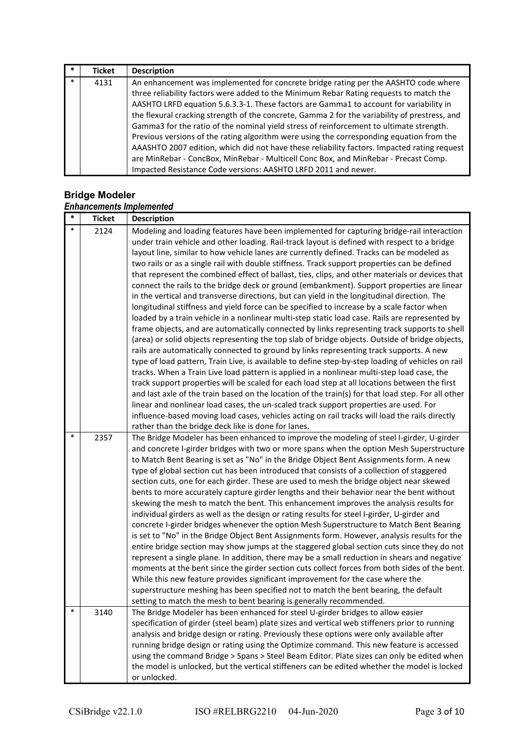| $\ast$ | <b>Ticket</b> | <b>Description</b>                                                                            |
|--------|---------------|-----------------------------------------------------------------------------------------------|
| $\ast$ | 4131          | An enhancement was implemented for concrete bridge rating per the AASHTO code where           |
|        |               | three reliability factors were added to the Minimum Rebar Rating requests to match the        |
|        |               | AASHTO LRFD equation 5.6.3.3-1. These factors are Gamma1 to account for variability in        |
|        |               | the flexural cracking strength of the concrete, Gamma 2 for the variability of prestress, and |
|        |               | Gamma3 for the ratio of the nominal yield stress of reinforcement to ultimate strength.       |
|        |               | Previous versions of the rating algorithm were using the corresponding equation from the      |
|        |               | AAASHTO 2007 edition, which did not have these reliability factors. Impacted rating request   |
|        |               | are MinRebar - ConcBox, MinRebar - Multicell Conc Box, and MinRebar - Precast Comp.           |
|        |               | Impacted Resistance Code versions: AASHTO LRFD 2011 and newer.                                |

### **Bridge Modeler**

#### *Enhancements Implemented*

| $\ast$ | <b>Ticket</b> | <b>Description</b>                                                                                                                                                                 |
|--------|---------------|------------------------------------------------------------------------------------------------------------------------------------------------------------------------------------|
| $\ast$ | 2124          | Modeling and loading features have been implemented for capturing bridge-rail interaction                                                                                          |
|        |               | under train vehicle and other loading. Rail-track layout is defined with respect to a bridge                                                                                       |
|        |               | layout line, similar to how vehicle lanes are currently defined. Tracks can be modeled as                                                                                          |
|        |               | two rails or as a single rail with double stiffness. Track support properties can be defined                                                                                       |
|        |               | that represent the combined effect of ballast, ties, clips, and other materials or devices that                                                                                    |
|        |               | connect the rails to the bridge deck or ground (embankment). Support properties are linear                                                                                         |
|        |               | in the vertical and transverse directions, but can yield in the longitudinal direction. The                                                                                        |
|        |               | longitudinal stiffness and yield force can be specified to increase by a scale factor when                                                                                         |
|        |               | loaded by a train vehicle in a nonlinear multi-step static load case. Rails are represented by                                                                                     |
|        |               | frame objects, and are automatically connected by links representing track supports to shell                                                                                       |
|        |               | (area) or solid objects representing the top slab of bridge objects. Outside of bridge objects,                                                                                    |
|        |               | rails are automatically connected to ground by links representing track supports. A new                                                                                            |
|        |               | type of load pattern, Train Live, is available to define step-by-step loading of vehicles on rail                                                                                  |
|        |               | tracks. When a Train Live load pattern is applied in a nonlinear multi-step load case, the                                                                                         |
|        |               | track support properties will be scaled for each load step at all locations between the first                                                                                      |
|        |               | and last axle of the train based on the location of the train(s) for that load step. For all other                                                                                 |
|        |               | linear and nonlinear load cases, the un-scaled track support properties are used. For                                                                                              |
|        |               | influence-based moving load cases, vehicles acting on rail tracks will load the rails directly                                                                                     |
| $\ast$ |               | rather than the bridge deck like is done for lanes.                                                                                                                                |
|        | 2357          | The Bridge Modeler has been enhanced to improve the modeling of steel I-girder, U-girder                                                                                           |
|        |               | and concrete I-girder bridges with two or more spans when the option Mesh Superstructure<br>to Match Bent Bearing is set as "No" in the Bridge Object Bent Assignments form. A new |
|        |               | type of global section cut has been introduced that consists of a collection of staggered                                                                                          |
|        |               | section cuts, one for each girder. These are used to mesh the bridge object near skewed                                                                                            |
|        |               | bents to more accurately capture girder lengths and their behavior near the bent without                                                                                           |
|        |               | skewing the mesh to match the bent. This enhancement improves the analysis results for                                                                                             |
|        |               | individual girders as well as the design or rating results for steel I-girder, U-girder and                                                                                        |
|        |               | concrete I-girder bridges whenever the option Mesh Superstructure to Match Bent Bearing                                                                                            |
|        |               | is set to "No" in the Bridge Object Bent Assignments form. However, analysis results for the                                                                                       |
|        |               | entire bridge section may show jumps at the staggered global section cuts since they do not                                                                                        |
|        |               | represent a single plane. In addition, there may be a small reduction in shears and negative                                                                                       |
|        |               | moments at the bent since the girder section cuts collect forces from both sides of the bent.                                                                                      |
|        |               | While this new feature provides significant improvement for the case where the                                                                                                     |
|        |               | superstructure meshing has been specified not to match the bent bearing, the default                                                                                               |
|        |               | setting to match the mesh to bent bearing is generally recommended.                                                                                                                |
| $\ast$ | 3140          | The Bridge Modeler has been enhanced for steel U-girder bridges to allow easier                                                                                                    |
|        |               | specification of girder (steel beam) plate sizes and vertical web stiffeners prior to running                                                                                      |
|        |               | analysis and bridge design or rating. Previously these options were only available after                                                                                           |
|        |               | running bridge design or rating using the Optimize command. This new feature is accessed                                                                                           |
|        |               | using the command Bridge > Spans > Steel Beam Editor. Plate sizes can only be edited when                                                                                          |
|        |               | the model is unlocked, but the vertical stiffeners can be edited whether the model is locked                                                                                       |
|        |               | or unlocked.                                                                                                                                                                       |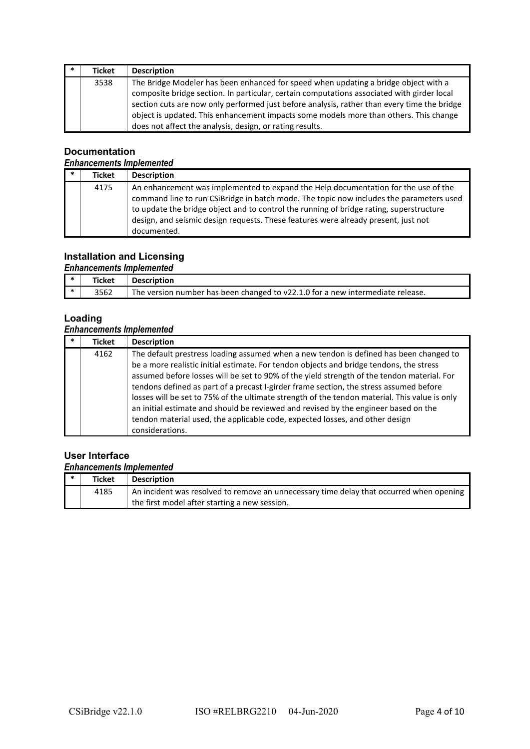| * | Ticket | <b>Description</b>                                                                          |
|---|--------|---------------------------------------------------------------------------------------------|
|   | 3538   | The Bridge Modeler has been enhanced for speed when updating a bridge object with a         |
|   |        | composite bridge section. In particular, certain computations associated with girder local  |
|   |        | section cuts are now only performed just before analysis, rather than every time the bridge |
|   |        | object is updated. This enhancement impacts some models more than others. This change       |
|   |        | does not affect the analysis, design, or rating results.                                    |

### **Documentation**

### *Enhancements Implemented*

| * | <b>Ticket</b> | <b>Description</b>                                                                                                                                                                                                                                                                                                                                                            |
|---|---------------|-------------------------------------------------------------------------------------------------------------------------------------------------------------------------------------------------------------------------------------------------------------------------------------------------------------------------------------------------------------------------------|
|   | 4175          | An enhancement was implemented to expand the Help documentation for the use of the<br>command line to run CSiBridge in batch mode. The topic now includes the parameters used<br>to update the bridge object and to control the running of bridge rating, superstructure<br>design, and seismic design requests. These features were already present, just not<br>documented. |

# **Installation and Licensing**

### *Enhancements Implemented*

| - ≭ | Ticket | <b>Description</b>                                                             |
|-----|--------|--------------------------------------------------------------------------------|
|     | 3562   | The version number has been changed to v22.1.0 for a new intermediate release. |

### **Loading**

# *Enhancements Implemented*

| $\ast$ | <b>Ticket</b> | <b>Description</b>                                                                                                                                                                                                                                                                                                                                                                                                                                                                                                                                                                                                                                |
|--------|---------------|---------------------------------------------------------------------------------------------------------------------------------------------------------------------------------------------------------------------------------------------------------------------------------------------------------------------------------------------------------------------------------------------------------------------------------------------------------------------------------------------------------------------------------------------------------------------------------------------------------------------------------------------------|
|        | 4162          | The default prestress loading assumed when a new tendon is defined has been changed to<br>be a more realistic initial estimate. For tendon objects and bridge tendons, the stress<br>assumed before losses will be set to 90% of the yield strength of the tendon material. For<br>tendons defined as part of a precast I-girder frame section, the stress assumed before<br>losses will be set to 75% of the ultimate strength of the tendon material. This value is only<br>an initial estimate and should be reviewed and revised by the engineer based on the<br>tendon material used, the applicable code, expected losses, and other design |
|        |               | considerations.                                                                                                                                                                                                                                                                                                                                                                                                                                                                                                                                                                                                                                   |

# **User Interface**

|     | <b>Enhancements Implemented</b> |                                                                                         |  |
|-----|---------------------------------|-----------------------------------------------------------------------------------------|--|
| . ∗ | <b>Ticket</b>                   | <b>Description</b>                                                                      |  |
|     | 4185                            | An incident was resolved to remove an unnecessary time delay that occurred when opening |  |
|     |                                 | the first model after starting a new session.                                           |  |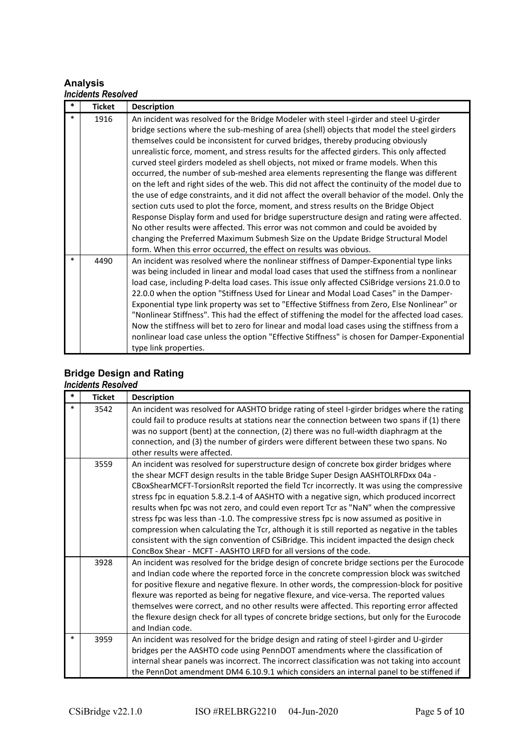### **Analysis**

#### *Incidents Resolved*

| $\ast$ | <b>Ticket</b> | <b>Description</b>                                                                                                                                                                                                                                                                                                                                                                                                                                                                                                                                                                                                                                                                                                                                                                                                                                                                                                                                                                                                                                                                                                                                                                               |
|--------|---------------|--------------------------------------------------------------------------------------------------------------------------------------------------------------------------------------------------------------------------------------------------------------------------------------------------------------------------------------------------------------------------------------------------------------------------------------------------------------------------------------------------------------------------------------------------------------------------------------------------------------------------------------------------------------------------------------------------------------------------------------------------------------------------------------------------------------------------------------------------------------------------------------------------------------------------------------------------------------------------------------------------------------------------------------------------------------------------------------------------------------------------------------------------------------------------------------------------|
| $\ast$ | 1916          | An incident was resolved for the Bridge Modeler with steel I-girder and steel U-girder<br>bridge sections where the sub-meshing of area (shell) objects that model the steel girders<br>themselves could be inconsistent for curved bridges, thereby producing obviously<br>unrealistic force, moment, and stress results for the affected girders. This only affected<br>curved steel girders modeled as shell objects, not mixed or frame models. When this<br>occurred, the number of sub-meshed area elements representing the flange was different<br>on the left and right sides of the web. This did not affect the continuity of the model due to<br>the use of edge constraints, and it did not affect the overall behavior of the model. Only the<br>section cuts used to plot the force, moment, and stress results on the Bridge Object<br>Response Display form and used for bridge superstructure design and rating were affected.<br>No other results were affected. This error was not common and could be avoided by<br>changing the Preferred Maximum Submesh Size on the Update Bridge Structural Model<br>form. When this error occurred, the effect on results was obvious. |
| $\ast$ | 4490          | An incident was resolved where the nonlinear stiffness of Damper-Exponential type links<br>was being included in linear and modal load cases that used the stiffness from a nonlinear<br>load case, including P-delta load cases. This issue only affected CSiBridge versions 21.0.0 to<br>22.0.0 when the option "Stiffness Used for Linear and Modal Load Cases" in the Damper-<br>Exponential type link property was set to "Effective Stiffness from Zero, Else Nonlinear" or<br>"Nonlinear Stiffness". This had the effect of stiffening the model for the affected load cases.<br>Now the stiffness will bet to zero for linear and modal load cases using the stiffness from a<br>nonlinear load case unless the option "Effective Stiffness" is chosen for Damper-Exponential<br>type link properties.                                                                                                                                                                                                                                                                                                                                                                                   |

# **Bridge Design and Rating**

#### *Incidents Resolved*

| $\ast$ | <b>Ticket</b> | <b>Description</b>                                                                                                                                                                                                                                                                                                                                                                                                                                                                                                                                                                                                                                                                                                                                                                                                             |
|--------|---------------|--------------------------------------------------------------------------------------------------------------------------------------------------------------------------------------------------------------------------------------------------------------------------------------------------------------------------------------------------------------------------------------------------------------------------------------------------------------------------------------------------------------------------------------------------------------------------------------------------------------------------------------------------------------------------------------------------------------------------------------------------------------------------------------------------------------------------------|
| *      | 3542          | An incident was resolved for AASHTO bridge rating of steel I-girder bridges where the rating<br>could fail to produce results at stations near the connection between two spans if (1) there<br>was no support (bent) at the connection, (2) there was no full-width diaphragm at the<br>connection, and (3) the number of girders were different between these two spans. No<br>other results were affected.                                                                                                                                                                                                                                                                                                                                                                                                                  |
|        | 3559          | An incident was resolved for superstructure design of concrete box girder bridges where<br>the shear MCFT design results in the table Bridge Super Design AASHTOLRFDxx 04a -<br>CBoxShearMCFT-TorsionRslt reported the field Tcr incorrectly. It was using the compressive<br>stress fpc in equation 5.8.2.1-4 of AASHTO with a negative sign, which produced incorrect<br>results when fpc was not zero, and could even report Tcr as "NaN" when the compressive<br>stress fpc was less than -1.0. The compressive stress fpc is now assumed as positive in<br>compression when calculating the Tcr, although it is still reported as negative in the tables<br>consistent with the sign convention of CSiBridge. This incident impacted the design check<br>ConcBox Shear - MCFT - AASHTO LRFD for all versions of the code. |
|        | 3928          | An incident was resolved for the bridge design of concrete bridge sections per the Eurocode<br>and Indian code where the reported force in the concrete compression block was switched<br>for positive flexure and negative flexure. In other words, the compression-block for positive<br>flexure was reported as being for negative flexure, and vice-versa. The reported values<br>themselves were correct, and no other results were affected. This reporting error affected<br>the flexure design check for all types of concrete bridge sections, but only for the Eurocode<br>and Indian code.                                                                                                                                                                                                                          |
| $\ast$ | 3959          | An incident was resolved for the bridge design and rating of steel I-girder and U-girder<br>bridges per the AASHTO code using PennDOT amendments where the classification of<br>internal shear panels was incorrect. The incorrect classification was not taking into account<br>the PennDot amendment DM4 6.10.9.1 which considers an internal panel to be stiffened if                                                                                                                                                                                                                                                                                                                                                                                                                                                       |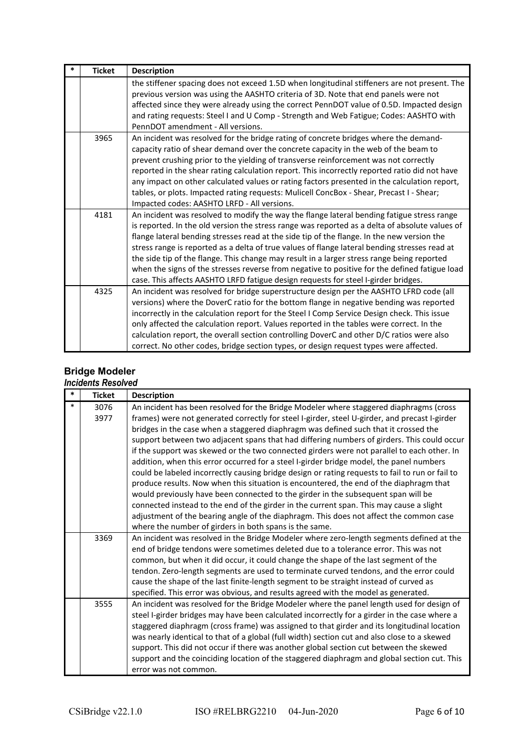| $\ast$ | <b>Ticket</b> | <b>Description</b>                                                                                                                                                                                                                                                                                                                                                                                                                                                                                                                                                                                                                                                               |
|--------|---------------|----------------------------------------------------------------------------------------------------------------------------------------------------------------------------------------------------------------------------------------------------------------------------------------------------------------------------------------------------------------------------------------------------------------------------------------------------------------------------------------------------------------------------------------------------------------------------------------------------------------------------------------------------------------------------------|
|        |               | the stiffener spacing does not exceed 1.5D when longitudinal stiffeners are not present. The<br>previous version was using the AASHTO criteria of 3D. Note that end panels were not<br>affected since they were already using the correct PennDOT value of 0.5D. Impacted design<br>and rating requests: Steel I and U Comp - Strength and Web Fatigue; Codes: AASHTO with<br>PennDOT amendment - All versions.                                                                                                                                                                                                                                                                  |
|        | 3965          | An incident was resolved for the bridge rating of concrete bridges where the demand-<br>capacity ratio of shear demand over the concrete capacity in the web of the beam to<br>prevent crushing prior to the yielding of transverse reinforcement was not correctly<br>reported in the shear rating calculation report. This incorrectly reported ratio did not have<br>any impact on other calculated values or rating factors presented in the calculation report,<br>tables, or plots. Impacted rating requests: Mulicell ConcBox - Shear, Precast I - Shear;<br>Impacted codes: AASHTO LRFD - All versions.                                                                  |
|        | 4181          | An incident was resolved to modify the way the flange lateral bending fatigue stress range<br>is reported. In the old version the stress range was reported as a delta of absolute values of<br>flange lateral bending stresses read at the side tip of the flange. In the new version the<br>stress range is reported as a delta of true values of flange lateral bending stresses read at<br>the side tip of the flange. This change may result in a larger stress range being reported<br>when the signs of the stresses reverse from negative to positive for the defined fatigue load<br>case. This affects AASHTO LRFD fatigue design requests for steel I-girder bridges. |
|        | 4325          | An incident was resolved for bridge superstructure design per the AASHTO LFRD code (all<br>versions) where the DoverC ratio for the bottom flange in negative bending was reported<br>incorrectly in the calculation report for the Steel I Comp Service Design check. This issue<br>only affected the calculation report. Values reported in the tables were correct. In the<br>calculation report, the overall section controlling DoverC and other D/C ratios were also<br>correct. No other codes, bridge section types, or design request types were affected.                                                                                                              |

# **Bridge Modeler**

| *      | <b>Ticket</b> | <b>Description</b>                                                                                                                                                                     |
|--------|---------------|----------------------------------------------------------------------------------------------------------------------------------------------------------------------------------------|
| $\ast$ | 3076          | An incident has been resolved for the Bridge Modeler where staggered diaphragms (cross                                                                                                 |
|        | 3977          | frames) were not generated correctly for steel I-girder, steel U-girder, and precast I-girder                                                                                          |
|        |               | bridges in the case when a staggered diaphragm was defined such that it crossed the                                                                                                    |
|        |               | support between two adjacent spans that had differing numbers of girders. This could occur                                                                                             |
|        |               | if the support was skewed or the two connected girders were not parallel to each other. In                                                                                             |
|        |               | addition, when this error occurred for a steel I-girder bridge model, the panel numbers                                                                                                |
|        |               | could be labeled incorrectly causing bridge design or rating requests to fail to run or fail to                                                                                        |
|        |               | produce results. Now when this situation is encountered, the end of the diaphragm that                                                                                                 |
|        |               | would previously have been connected to the girder in the subsequent span will be                                                                                                      |
|        |               | connected instead to the end of the girder in the current span. This may cause a slight                                                                                                |
|        |               | adjustment of the bearing angle of the diaphragm. This does not affect the common case                                                                                                 |
|        |               | where the number of girders in both spans is the same.                                                                                                                                 |
|        | 3369          | An incident was resolved in the Bridge Modeler where zero-length segments defined at the                                                                                               |
|        |               | end of bridge tendons were sometimes deleted due to a tolerance error. This was not                                                                                                    |
|        |               | common, but when it did occur, it could change the shape of the last segment of the                                                                                                    |
|        |               | tendon. Zero-length segments are used to terminate curved tendons, and the error could                                                                                                 |
|        |               | cause the shape of the last finite-length segment to be straight instead of curved as                                                                                                  |
|        |               | specified. This error was obvious, and results agreed with the model as generated.                                                                                                     |
|        | 3555          | An incident was resolved for the Bridge Modeler where the panel length used for design of                                                                                              |
|        |               | steel I-girder bridges may have been calculated incorrectly for a girder in the case where a                                                                                           |
|        |               | staggered diaphragm (cross frame) was assigned to that girder and its longitudinal location                                                                                            |
|        |               | was nearly identical to that of a global (full width) section cut and also close to a skewed<br>support. This did not occur if there was another global section cut between the skewed |
|        |               | support and the coinciding location of the staggered diaphragm and global section cut. This                                                                                            |
|        |               | error was not common.                                                                                                                                                                  |
|        |               |                                                                                                                                                                                        |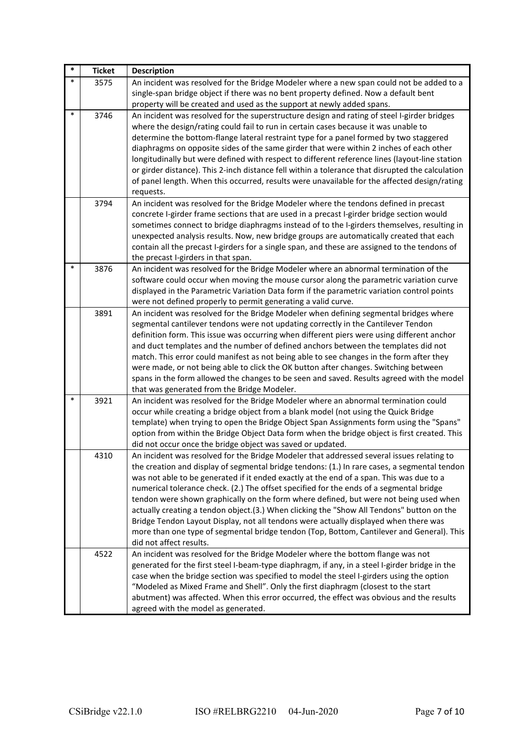| $\ast$ | <b>Ticket</b> | <b>Description</b>                                                                                                                                                                                                                                                                                                                                                                                                                                                                                                                                                                                                                                                                                                                                                                     |
|--------|---------------|----------------------------------------------------------------------------------------------------------------------------------------------------------------------------------------------------------------------------------------------------------------------------------------------------------------------------------------------------------------------------------------------------------------------------------------------------------------------------------------------------------------------------------------------------------------------------------------------------------------------------------------------------------------------------------------------------------------------------------------------------------------------------------------|
| $\ast$ | 3575          | An incident was resolved for the Bridge Modeler where a new span could not be added to a<br>single-span bridge object if there was no bent property defined. Now a default bent                                                                                                                                                                                                                                                                                                                                                                                                                                                                                                                                                                                                        |
|        |               | property will be created and used as the support at newly added spans.                                                                                                                                                                                                                                                                                                                                                                                                                                                                                                                                                                                                                                                                                                                 |
| $\ast$ | 3746          | An incident was resolved for the superstructure design and rating of steel I-girder bridges<br>where the design/rating could fail to run in certain cases because it was unable to<br>determine the bottom-flange lateral restraint type for a panel formed by two staggered<br>diaphragms on opposite sides of the same girder that were within 2 inches of each other<br>longitudinally but were defined with respect to different reference lines (layout-line station<br>or girder distance). This 2-inch distance fell within a tolerance that disrupted the calculation<br>of panel length. When this occurred, results were unavailable for the affected design/rating<br>requests.                                                                                             |
|        | 3794          | An incident was resolved for the Bridge Modeler where the tendons defined in precast<br>concrete I-girder frame sections that are used in a precast I-girder bridge section would<br>sometimes connect to bridge diaphragms instead of to the I-girders themselves, resulting in<br>unexpected analysis results. Now, new bridge groups are automatically created that each<br>contain all the precast I-girders for a single span, and these are assigned to the tendons of<br>the precast I-girders in that span.                                                                                                                                                                                                                                                                    |
| $\ast$ | 3876          | An incident was resolved for the Bridge Modeler where an abnormal termination of the<br>software could occur when moving the mouse cursor along the parametric variation curve<br>displayed in the Parametric Variation Data form if the parametric variation control points<br>were not defined properly to permit generating a valid curve.                                                                                                                                                                                                                                                                                                                                                                                                                                          |
|        | 3891          | An incident was resolved for the Bridge Modeler when defining segmental bridges where<br>segmental cantilever tendons were not updating correctly in the Cantilever Tendon<br>definition form. This issue was occurring when different piers were using different anchor<br>and duct templates and the number of defined anchors between the templates did not<br>match. This error could manifest as not being able to see changes in the form after they<br>were made, or not being able to click the OK button after changes. Switching between<br>spans in the form allowed the changes to be seen and saved. Results agreed with the model<br>that was generated from the Bridge Modeler.                                                                                         |
| $\ast$ | 3921          | An incident was resolved for the Bridge Modeler where an abnormal termination could<br>occur while creating a bridge object from a blank model (not using the Quick Bridge<br>template) when trying to open the Bridge Object Span Assignments form using the "Spans"<br>option from within the Bridge Object Data form when the bridge object is first created. This<br>did not occur once the bridge object was saved or updated.                                                                                                                                                                                                                                                                                                                                                    |
|        | 4310          | An incident was resolved for the Bridge Modeler that addressed several issues relating to<br>the creation and display of segmental bridge tendons: (1.) In rare cases, a segmental tendon<br>was not able to be generated if it ended exactly at the end of a span. This was due to a<br>numerical tolerance check. (2.) The offset specified for the ends of a segmental bridge<br>tendon were shown graphically on the form where defined, but were not being used when<br>actually creating a tendon object.(3.) When clicking the "Show All Tendons" button on the<br>Bridge Tendon Layout Display, not all tendons were actually displayed when there was<br>more than one type of segmental bridge tendon (Top, Bottom, Cantilever and General). This<br>did not affect results. |
|        | 4522          | An incident was resolved for the Bridge Modeler where the bottom flange was not<br>generated for the first steel I-beam-type diaphragm, if any, in a steel I-girder bridge in the<br>case when the bridge section was specified to model the steel I-girders using the option<br>"Modeled as Mixed Frame and Shell". Only the first diaphragm (closest to the start<br>abutment) was affected. When this error occurred, the effect was obvious and the results<br>agreed with the model as generated.                                                                                                                                                                                                                                                                                 |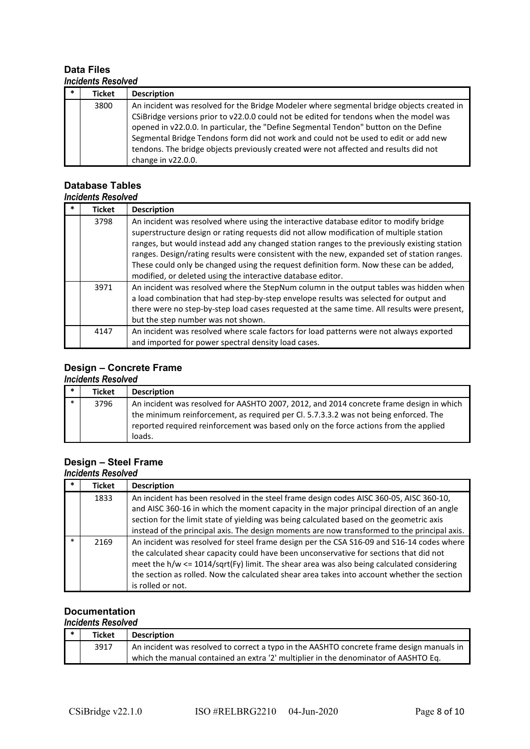### **Data Files** *Incidents Resolved*

| $\ast$ | <b>Ticket</b> | <b>Description</b>                                                                                                                                                                                                                                                                                                                                                 |
|--------|---------------|--------------------------------------------------------------------------------------------------------------------------------------------------------------------------------------------------------------------------------------------------------------------------------------------------------------------------------------------------------------------|
|        | 3800          | An incident was resolved for the Bridge Modeler where segmental bridge objects created in<br>CSiBridge versions prior to v22.0.0 could not be edited for tendons when the model was<br>opened in v22.0.0. In particular, the "Define Segmental Tendon" button on the Define<br>Segmental Bridge Tendons form did not work and could not be used to edit or add new |
|        |               | tendons. The bridge objects previously created were not affected and results did not<br>change in v22.0.0.                                                                                                                                                                                                                                                         |

#### **Database Tables** *Incidents Resolved*

| IIIGIUGIILS INGSUIVGU |                                                                                                                                                                                                                                                                                                                                                                                                                                                                                                                                         |
|-----------------------|-----------------------------------------------------------------------------------------------------------------------------------------------------------------------------------------------------------------------------------------------------------------------------------------------------------------------------------------------------------------------------------------------------------------------------------------------------------------------------------------------------------------------------------------|
| <b>Ticket</b>         | <b>Description</b>                                                                                                                                                                                                                                                                                                                                                                                                                                                                                                                      |
| 3798                  | An incident was resolved where using the interactive database editor to modify bridge<br>superstructure design or rating requests did not allow modification of multiple station<br>ranges, but would instead add any changed station ranges to the previously existing station<br>ranges. Design/rating results were consistent with the new, expanded set of station ranges.<br>These could only be changed using the request definition form. Now these can be added,<br>modified, or deleted using the interactive database editor. |
| 3971                  | An incident was resolved where the StepNum column in the output tables was hidden when<br>a load combination that had step-by-step envelope results was selected for output and<br>there were no step-by-step load cases requested at the same time. All results were present,<br>but the step number was not shown.                                                                                                                                                                                                                    |
| 4147                  | An incident was resolved where scale factors for load patterns were not always exported<br>and imported for power spectral density load cases.                                                                                                                                                                                                                                                                                                                                                                                          |

# **Design – Concrete Frame**

### *Incidents Resolved*

|        | <b>Ticket</b> | <b>Description</b>                                                                                                                                                                                                                                                                |
|--------|---------------|-----------------------------------------------------------------------------------------------------------------------------------------------------------------------------------------------------------------------------------------------------------------------------------|
| $\ast$ | 3796          | An incident was resolved for AASHTO 2007, 2012, and 2014 concrete frame design in which<br>the minimum reinforcement, as required per Cl. 5.7.3.3.2 was not being enforced. The<br>reported required reinforcement was based only on the force actions from the applied<br>loads. |

# **Design – Steel Frame**

### *Incidents Resolved*

| <b>Ticket</b> | <b>Description</b>                                                                                                                                                                                                                                                                                                                                                                                   |
|---------------|------------------------------------------------------------------------------------------------------------------------------------------------------------------------------------------------------------------------------------------------------------------------------------------------------------------------------------------------------------------------------------------------------|
| 1833          | An incident has been resolved in the steel frame design codes AISC 360-05, AISC 360-10,<br>and AISC 360-16 in which the moment capacity in the major principal direction of an angle<br>section for the limit state of yielding was being calculated based on the geometric axis                                                                                                                     |
|               | instead of the principal axis. The design moments are now transformed to the principal axis.                                                                                                                                                                                                                                                                                                         |
| 2169          | An incident was resolved for steel frame design per the CSA S16-09 and S16-14 codes where<br>the calculated shear capacity could have been unconservative for sections that did not<br>meet the h/w <= 1014/sqrt(Fy) limit. The shear area was also being calculated considering<br>the section as rolled. Now the calculated shear area takes into account whether the section<br>is rolled or not. |

#### **Documentation** *Incidents Resolved*

| <b>Ticket</b> | <b>Description</b>                                                                        |
|---------------|-------------------------------------------------------------------------------------------|
| 3917          | An incident was resolved to correct a typo in the AASHTO concrete frame design manuals in |
|               | which the manual contained an extra '2' multiplier in the denominator of AASHTO Eq.       |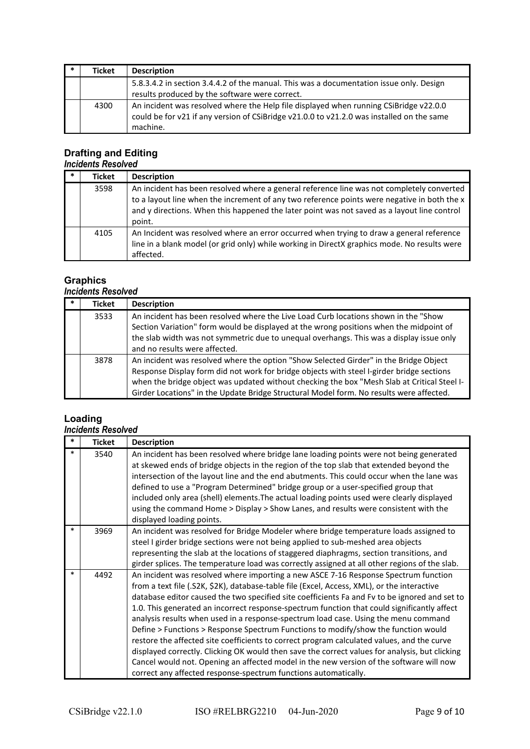| <b>Ticket</b> | <b>Description</b>                                                                                                                                                                             |
|---------------|------------------------------------------------------------------------------------------------------------------------------------------------------------------------------------------------|
|               | 5.8.3.4.2 in section 3.4.4.2 of the manual. This was a documentation issue only. Design<br>results produced by the software were correct.                                                      |
| 4300          | An incident was resolved where the Help file displayed when running CSiBridge v22.0.0<br>could be for v21 if any version of CSiBridge v21.0.0 to v21.2.0 was installed on the same<br>machine. |

# **Drafting and Editing**

### *Incidents Resolved*

| $\ast$ | <b>Ticket</b> | <b>Description</b>                                                                                                                                                                                                                                                                                |
|--------|---------------|---------------------------------------------------------------------------------------------------------------------------------------------------------------------------------------------------------------------------------------------------------------------------------------------------|
|        | 3598          | An incident has been resolved where a general reference line was not completely converted<br>to a layout line when the increment of any two reference points were negative in both the x<br>and y directions. When this happened the later point was not saved as a layout line control<br>point. |
|        | 4105          | An Incident was resolved where an error occurred when trying to draw a general reference<br>line in a blank model (or grid only) while working in DirectX graphics mode. No results were<br>affected.                                                                                             |

# **Graphics**

### *Incidents Resolved*

| $\ast$ | Ticket | <b>Description</b>                                                                                                                                                                                                                                                                                                                                                           |
|--------|--------|------------------------------------------------------------------------------------------------------------------------------------------------------------------------------------------------------------------------------------------------------------------------------------------------------------------------------------------------------------------------------|
|        | 3533   | An incident has been resolved where the Live Load Curb locations shown in the "Show<br>Section Variation" form would be displayed at the wrong positions when the midpoint of<br>the slab width was not symmetric due to unequal overhangs. This was a display issue only<br>and no results were affected.                                                                   |
|        | 3878   | An incident was resolved where the option "Show Selected Girder" in the Bridge Object<br>Response Display form did not work for bridge objects with steel I-girder bridge sections<br>when the bridge object was updated without checking the box "Mesh Slab at Critical Steel I-<br>Girder Locations" in the Update Bridge Structural Model form. No results were affected. |

# **Loading**

#### *Incidents Resolved*

| *      | <b>Ticket</b> | <b>Description</b>                                                                                                                                                                                                                                                                                                                                                                                                                                                                                                                                                                                                                                                                                                                                                                                                                                                                                                            |
|--------|---------------|-------------------------------------------------------------------------------------------------------------------------------------------------------------------------------------------------------------------------------------------------------------------------------------------------------------------------------------------------------------------------------------------------------------------------------------------------------------------------------------------------------------------------------------------------------------------------------------------------------------------------------------------------------------------------------------------------------------------------------------------------------------------------------------------------------------------------------------------------------------------------------------------------------------------------------|
| $\ast$ | 3540          | An incident has been resolved where bridge lane loading points were not being generated<br>at skewed ends of bridge objects in the region of the top slab that extended beyond the<br>intersection of the layout line and the end abutments. This could occur when the lane was<br>defined to use a "Program Determined" bridge group or a user-specified group that<br>included only area (shell) elements. The actual loading points used were clearly displayed<br>using the command Home > Display > Show Lanes, and results were consistent with the<br>displayed loading points.                                                                                                                                                                                                                                                                                                                                        |
| $\ast$ | 3969          | An incident was resolved for Bridge Modeler where bridge temperature loads assigned to<br>steel I girder bridge sections were not being applied to sub-meshed area objects<br>representing the slab at the locations of staggered diaphragms, section transitions, and<br>girder splices. The temperature load was correctly assigned at all other regions of the slab.                                                                                                                                                                                                                                                                                                                                                                                                                                                                                                                                                       |
| $\ast$ | 4492          | An incident was resolved where importing a new ASCE 7-16 Response Spectrum function<br>from a text file (.S2K, \$2K), database-table file (Excel, Access, XML), or the interactive<br>database editor caused the two specified site coefficients Fa and Fv to be ignored and set to<br>1.0. This generated an incorrect response-spectrum function that could significantly affect<br>analysis results when used in a response-spectrum load case. Using the menu command<br>Define > Functions > Response Spectrum Functions to modify/show the function would<br>restore the affected site coefficients to correct program calculated values, and the curve<br>displayed correctly. Clicking OK would then save the correct values for analysis, but clicking<br>Cancel would not. Opening an affected model in the new version of the software will now<br>correct any affected response-spectrum functions automatically. |